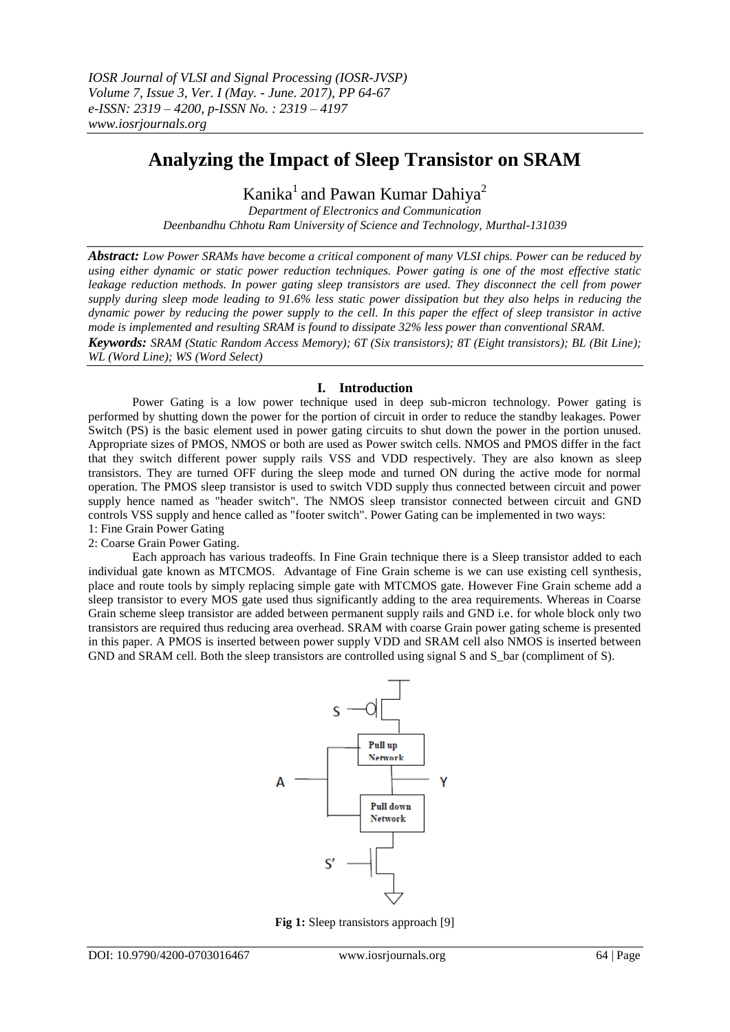# **Analyzing the Impact of Sleep Transistor on SRAM**

Kanika<sup>1</sup> and Pawan Kumar Dahiya<sup>2</sup>

*Department of Electronics and Communication Deenbandhu Chhotu Ram University of Science and Technology, Murthal-131039*

*Abstract: Low Power SRAMs have become a critical component of many VLSI chips. Power can be reduced by using either dynamic or static power reduction techniques. Power gating is one of the most effective static leakage reduction methods. In power gating sleep transistors are used. They disconnect the cell from power supply during sleep mode leading to 91.6% less static power dissipation but they also helps in reducing the dynamic power by reducing the power supply to the cell. In this paper the effect of sleep transistor in active mode is implemented and resulting SRAM is found to dissipate 32% less power than conventional SRAM.* 

*Keywords: SRAM (Static Random Access Memory); 6T (Six transistors); 8T (Eight transistors); BL (Bit Line); WL (Word Line); WS (Word Select)*

## **I. Introduction**

Power Gating is a low power technique used in deep sub-micron technology. Power gating is performed by shutting down the power for the portion of circuit in order to reduce the standby leakages. Power Switch (PS) is the basic element used in power gating circuits to shut down the power in the portion unused. Appropriate sizes of PMOS, NMOS or both are used as Power switch cells. NMOS and PMOS differ in the fact that they switch different power supply rails VSS and VDD respectively. They are also known as sleep transistors. They are turned OFF during the sleep mode and turned ON during the active mode for normal operation. The PMOS sleep transistor is used to switch VDD supply thus connected between circuit and power supply hence named as "header switch". The NMOS sleep transistor connected between circuit and GND controls VSS supply and hence called as "footer switch". Power Gating can be implemented in two ways: 1: Fine Grain Power Gating

#### 2: Coarse Grain Power Gating.

Each approach has various tradeoffs. In Fine Grain technique there is a Sleep transistor added to each individual gate known as MTCMOS. Advantage of Fine Grain scheme is we can use existing cell synthesis, place and route tools by simply replacing simple gate with MTCMOS gate. However Fine Grain scheme add a sleep transistor to every MOS gate used thus significantly adding to the area requirements. Whereas in Coarse Grain scheme sleep transistor are added between permanent supply rails and GND i.e. for whole block only two transistors are required thus reducing area overhead. SRAM with coarse Grain power gating scheme is presented in this paper. A PMOS is inserted between power supply VDD and SRAM cell also NMOS is inserted between GND and SRAM cell. Both the sleep transistors are controlled using signal S and S bar (compliment of S).



**Fig 1:** Sleep transistors approach [9]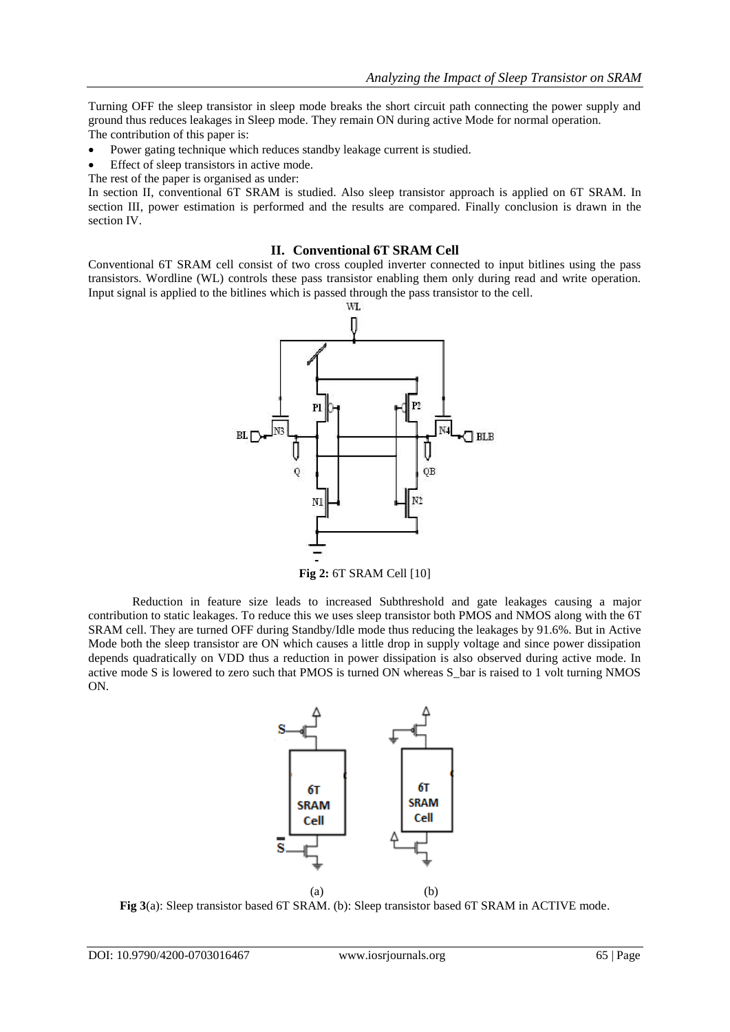Turning OFF the sleep transistor in sleep mode breaks the short circuit path connecting the power supply and ground thus reduces leakages in Sleep mode. They remain ON during active Mode for normal operation. The contribution of this paper is:

- Power gating technique which reduces standby leakage current is studied.
- Effect of sleep transistors in active mode.
- The rest of the paper is organised as under:

In section II, conventional 6T SRAM is studied. Also sleep transistor approach is applied on 6T SRAM. In section III, power estimation is performed and the results are compared. Finally conclusion is drawn in the section IV.

### **II. Conventional 6T SRAM Cell**

Conventional 6T SRAM cell consist of two cross coupled inverter connected to input bitlines using the pass transistors. Wordline (WL) controls these pass transistor enabling them only during read and write operation. Input signal is applied to the bitlines which is passed through the pass transistor to the cell.



Reduction in feature size leads to increased Subthreshold and gate leakages causing a major contribution to static leakages. To reduce this we uses sleep transistor both PMOS and NMOS along with the 6T SRAM cell. They are turned OFF during Standby/Idle mode thus reducing the leakages by 91.6%. But in Active Mode both the sleep transistor are ON which causes a little drop in supply voltage and since power dissipation depends quadratically on VDD thus a reduction in power dissipation is also observed during active mode. In active mode S is lowered to zero such that PMOS is turned ON whereas S\_bar is raised to 1 volt turning NMOS ON.



**Fig 3**(a): Sleep transistor based 6T SRAM. (b): Sleep transistor based 6T SRAM in ACTIVE mode.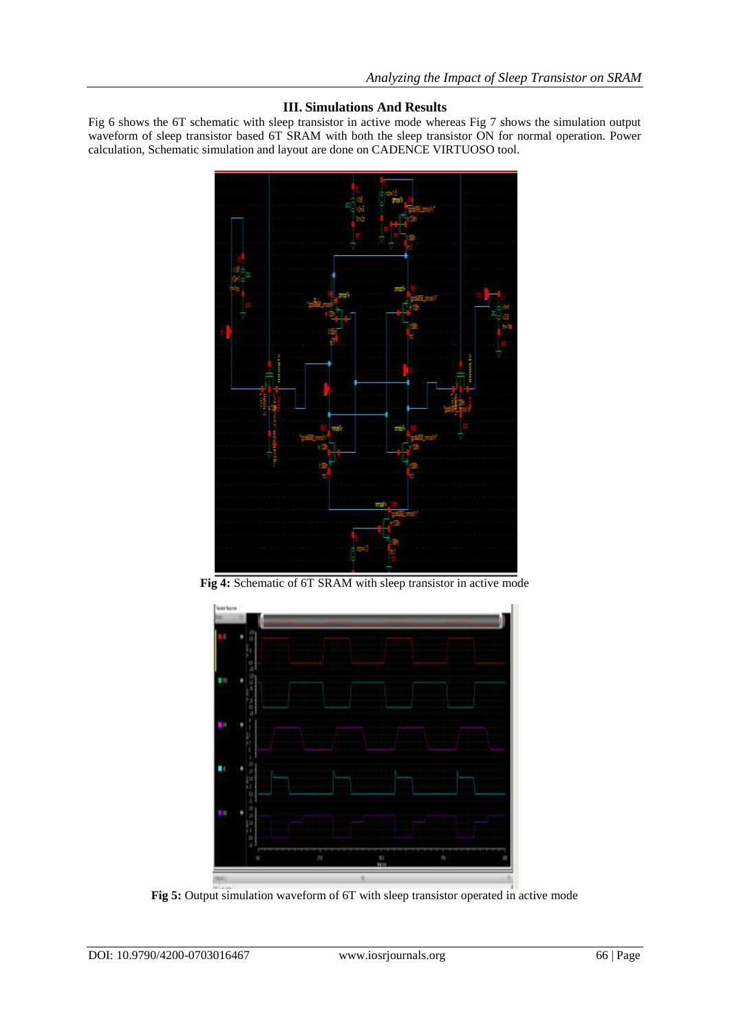# **III. Simulations And Results**

Fig 6 shows the 6T schematic with sleep transistor in active mode whereas Fig 7 shows the simulation output waveform of sleep transistor based 6T SRAM with both the sleep transistor ON for normal operation. Power calculation, Schematic simulation and layout are done on CADENCE VIRTUOSO tool.



**Fig 4:** Schematic of 6T SRAM with sleep transistor in active mode



**Fig 5:** Output simulation waveform of 6T with sleep transistor operated in active mode